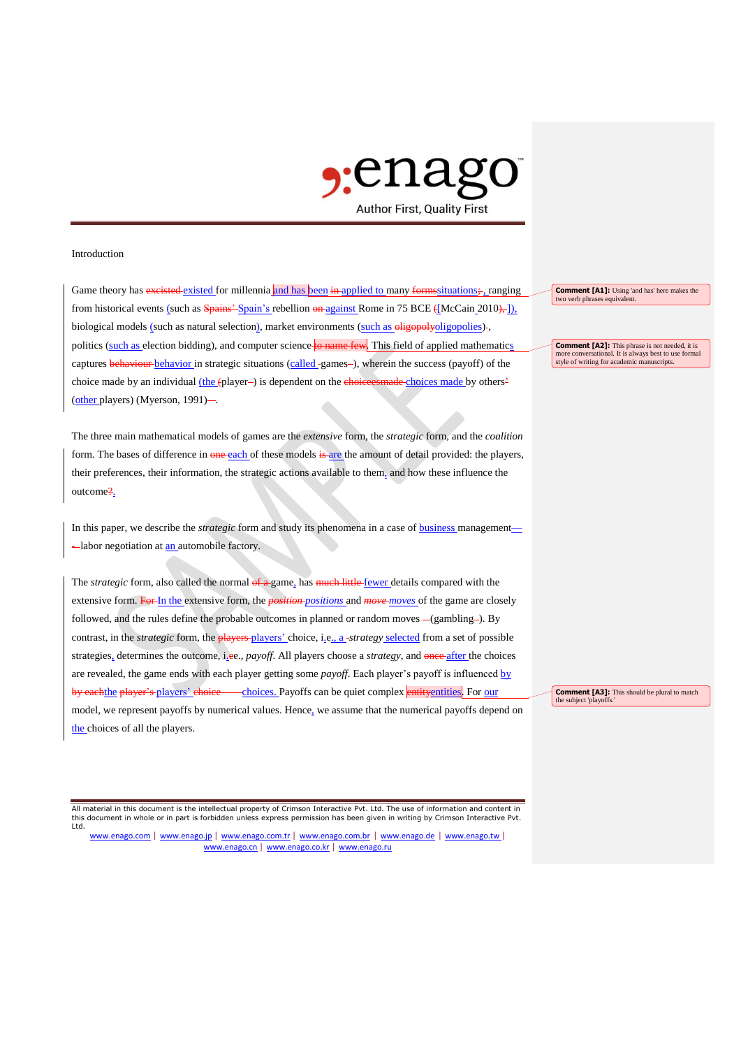

## Introduction

Game theory has excisted existed for millennia and has been in applied to many formssituations; ranging from historical events (such as Spains' Spain's rebellion on against Rome in 75 BCE ([McCain 2010), ]), biological models (such as natural selection), market environments (such as eligopolyoligopolies)-, politics (such as election bidding), and computer science to name few. This field of applied mathematics captures **behaviour** behavior in strategic situations (called -games-), wherein the success (payoff) of the choice made by an individual (the (player-) is dependent on the choices made choices made by others<sup>2</sup> (other players) (Myerson, 1991)-.

The three main mathematical models of games are the *extensive* form, the *strategic* form, and the *coalition*  form. The bases of difference in one each of these models is are the amount of detail provided: the players, their preferences, their information, the strategic actions available to them, and how these influence the outcome?.

In this paper, we describe the *strategic* form and study its phenomena in a case of business management— -labor negotiation at an automobile factory.

The *strategic* form, also called the normal of a game, has much little fewer details compared with the extensive form. For In the extensive form, the *position positions* and *move moves* of the game are closely followed, and the rules define the probable outcomes in planned or random moves -(gambling-). By contrast, in the *strategic* form, the **players** players' choice, i.e., a-*strategy* selected from a set of possible strategies, determines the outcome, i.ee., *payoff*. All players choose a *strategy*, and once after the choices are revealed, the game ends with each player getting some *payoff*. Each player's payoff is influenced by by each the player's players' choice choices. Payoffs can be quiet complex entity entities. For our model, we represent payoffs by numerical values. Hence, we assume that the numerical payoffs depend on the choices of all the players.

All material in this document is the intellectual property of Crimson Interactive Pvt. Ltd. The use of information and content in this document in whole or in part is forbidden unless express permission has been given in writing by Crimson Interactive Pvt. Ltd.

www.enago.com | www.enago.jp | www.enago.com.tr | www.enago.com.br | www.enago.de | www.enago.tw | www.enago.cn | www.enago.co.kr | www.enago.ru

**Comment [A1]:** Using 'and has' here makes the two verb phrases equivalent.

**Comment [A2]:** This phrase is not needed, it is more conversational. It is always best to use formal style of writing for academic manuscripts.

**Comment [A3]:** This should be plural to match the subject 'playoffs.